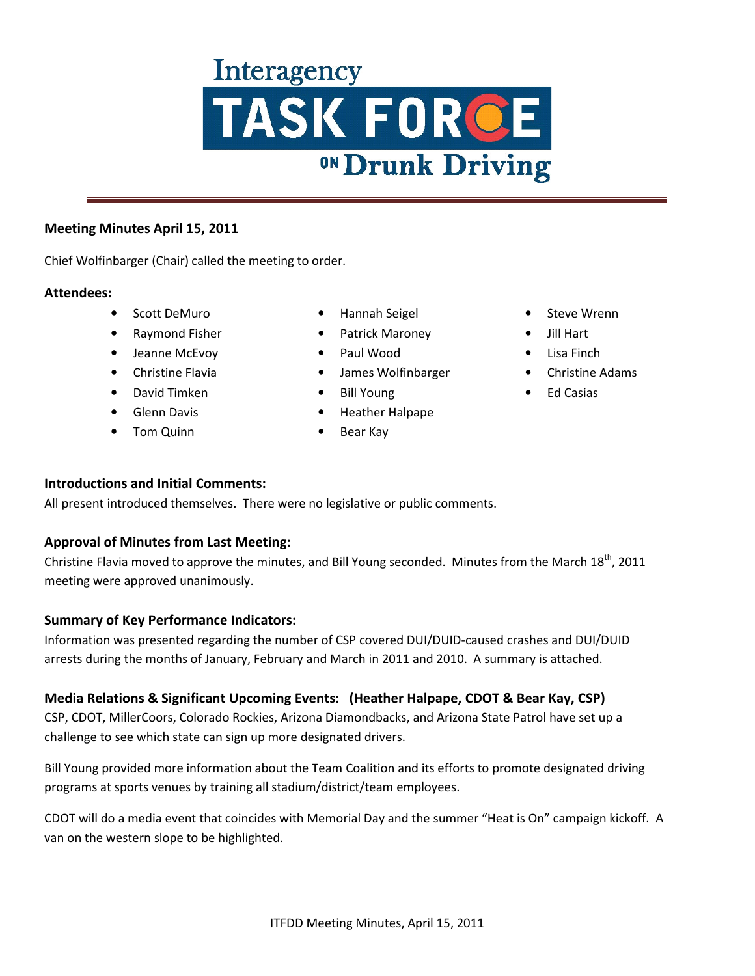# **Interagency TASK FORCE**

### **Meeting Minutes April 15, 2011**

Chief Wolfinbarger (Chair) called the meeting to order.

### **Attendees:**

- Scott DeMuro
- Raymond Fisher
- Jeanne McEvoy
- Christine Flavia
- David Timken
- Glenn Davis
- Tom Quinn
- Hannah Seigel
- Patrick Maroney
- Paul Wood
- James Wolfinbarger
- Bill Young
- Heather Halpape
- Bear Kay
- Steve Wrenn
- Jill Hart
- Lisa Finch
- Christine Adams
- Ed Casias

### **Introductions and Initial Comments:**

All present introduced themselves. There were no legislative or public comments.

### **Approval of Minutes from Last Meeting:**

Christine Flavia moved to approve the minutes, and Bill Young seconded. Minutes from the March 18<sup>th</sup>, 2011 meeting were approved unanimously.

### **Summary of Key Performance Indicators:**

Information was presented regarding the number of CSP covered DUI/DUID-caused crashes and DUI/DUID arrests during the months of January, February and March in 2011 and 2010. A summary is attached.

### **Media Relations & Significant Upcoming Events: (Heather Halpape, CDOT & Bear Kay, CSP)**

CSP, CDOT, MillerCoors, Colorado Rockies, Arizona Diamondbacks, and Arizona State Patrol have set up a challenge to see which state can sign up more designated drivers.

Bill Young provided more information about the Team Coalition and its efforts to promote designated driving programs at sports venues by training all stadium/district/team employees.

CDOT will do a media event that coincides with Memorial Day and the summer "Heat is On" campaign kickoff. A van on the western slope to be highlighted.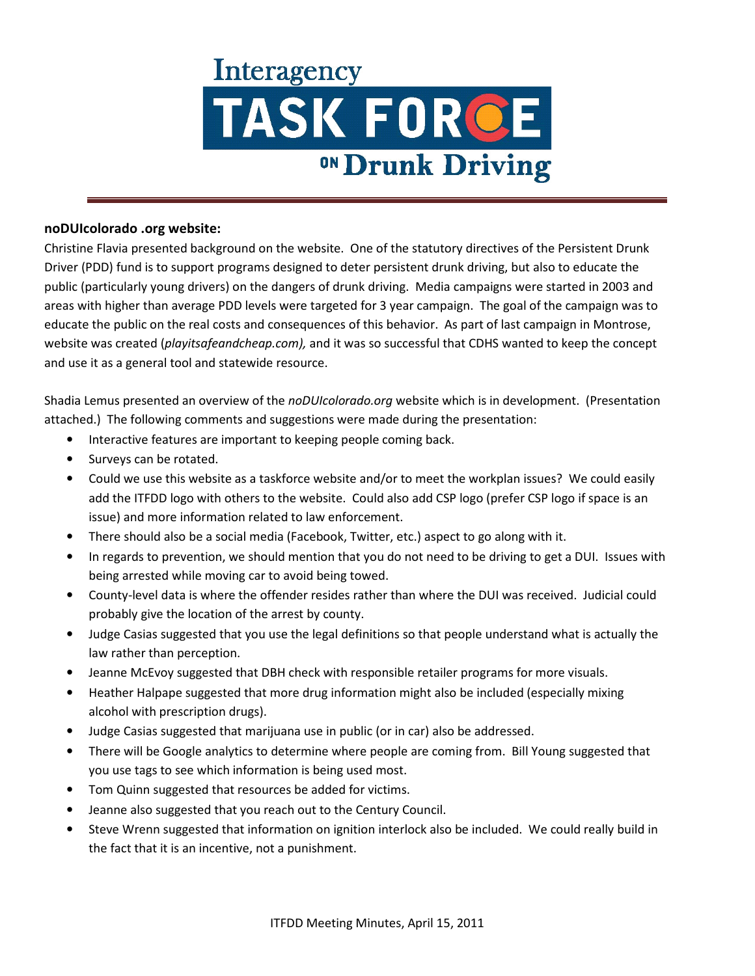## **Interagency** TASK FORCE <sup>ON</sup> Drunk Driving

#### **noDUIcolorado .org website:**

Christine Flavia presented background on the website. One of the statutory directives of the Persistent Drunk Driver (PDD) fund is to support programs designed to deter persistent drunk driving, but also to educate the public (particularly young drivers) on the dangers of drunk driving. Media campaigns were started in 2003 and areas with higher than average PDD levels were targeted for 3 year campaign. The goal of the campaign was to educate the public on the real costs and consequences of this behavior. As part of last campaign in Montrose, website was created (*playitsafeandcheap.com),* and it was so successful that CDHS wanted to keep the concept and use it as a general tool and statewide resource.

Shadia Lemus presented an overview of the *noDUIcolorado.org* website which is in development. (Presentation attached.) The following comments and suggestions were made during the presentation:

- Interactive features are important to keeping people coming back.
- Surveys can be rotated.
- Could we use this website as a taskforce website and/or to meet the workplan issues? We could easily add the ITFDD logo with others to the website. Could also add CSP logo (prefer CSP logo if space is an issue) and more information related to law enforcement.
- There should also be a social media (Facebook, Twitter, etc.) aspect to go along with it.
- In regards to prevention, we should mention that you do not need to be driving to get a DUI. Issues with being arrested while moving car to avoid being towed.
- County-level data is where the offender resides rather than where the DUI was received. Judicial could probably give the location of the arrest by county.
- Judge Casias suggested that you use the legal definitions so that people understand what is actually the law rather than perception.
- Jeanne McEvoy suggested that DBH check with responsible retailer programs for more visuals.
- Heather Halpape suggested that more drug information might also be included (especially mixing alcohol with prescription drugs).
- Judge Casias suggested that marijuana use in public (or in car) also be addressed.
- There will be Google analytics to determine where people are coming from. Bill Young suggested that you use tags to see which information is being used most.
- Tom Quinn suggested that resources be added for victims.
- Jeanne also suggested that you reach out to the Century Council.
- Steve Wrenn suggested that information on ignition interlock also be included. We could really build in the fact that it is an incentive, not a punishment.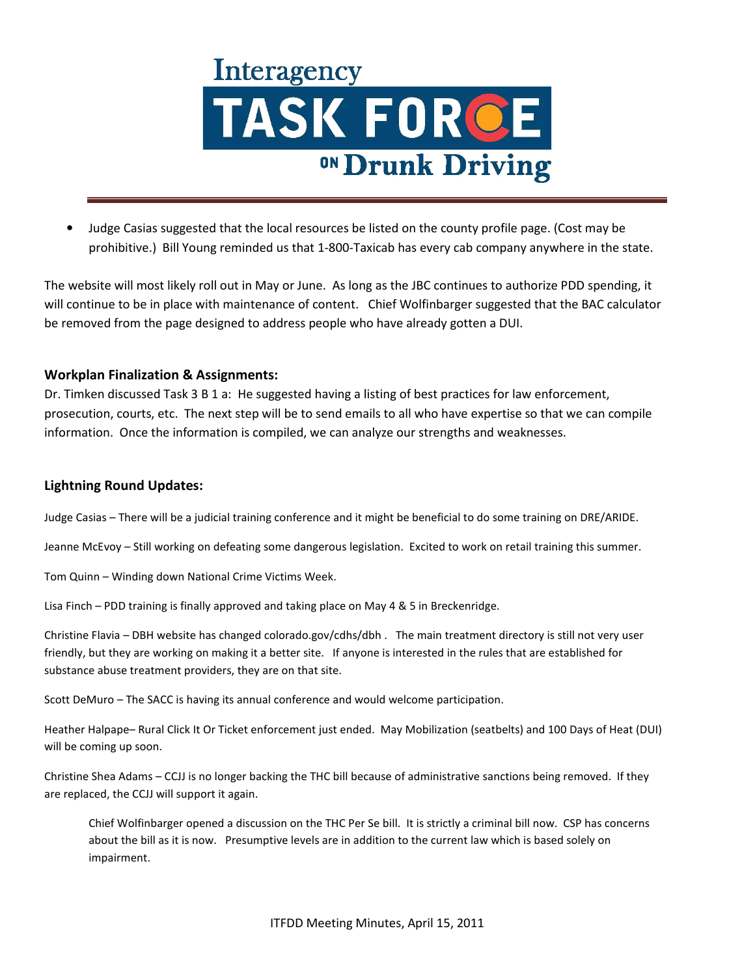

• Judge Casias suggested that the local resources be listed on the county profile page. (Cost may be prohibitive.) Bill Young reminded us that 1-800-Taxicab has every cab company anywhere in the state.

The website will most likely roll out in May or June. As long as the JBC continues to authorize PDD spending, it will continue to be in place with maintenance of content. Chief Wolfinbarger suggested that the BAC calculator be removed from the page designed to address people who have already gotten a DUI.

### **Workplan Finalization & Assignments:**

Dr. Timken discussed Task 3 B 1 a: He suggested having a listing of best practices for law enforcement, prosecution, courts, etc. The next step will be to send emails to all who have expertise so that we can compile information. Once the information is compiled, we can analyze our strengths and weaknesses.

#### **Lightning Round Updates:**

Judge Casias – There will be a judicial training conference and it might be beneficial to do some training on DRE/ARIDE.

Jeanne McEvoy – Still working on defeating some dangerous legislation. Excited to work on retail training this summer.

Tom Quinn – Winding down National Crime Victims Week.

Lisa Finch – PDD training is finally approved and taking place on May 4 & 5 in Breckenridge.

Christine Flavia – DBH website has changed colorado.gov/cdhs/dbh . The main treatment directory is still not very user friendly, but they are working on making it a better site. If anyone is interested in the rules that are established for substance abuse treatment providers, they are on that site.

Scott DeMuro – The SACC is having its annual conference and would welcome participation.

Heather Halpape– Rural Click It Or Ticket enforcement just ended. May Mobilization (seatbelts) and 100 Days of Heat (DUI) will be coming up soon.

Christine Shea Adams – CCJJ is no longer backing the THC bill because of administrative sanctions being removed. If they are replaced, the CCJJ will support it again.

Chief Wolfinbarger opened a discussion on the THC Per Se bill. It is strictly a criminal bill now. CSP has concerns about the bill as it is now. Presumptive levels are in addition to the current law which is based solely on impairment.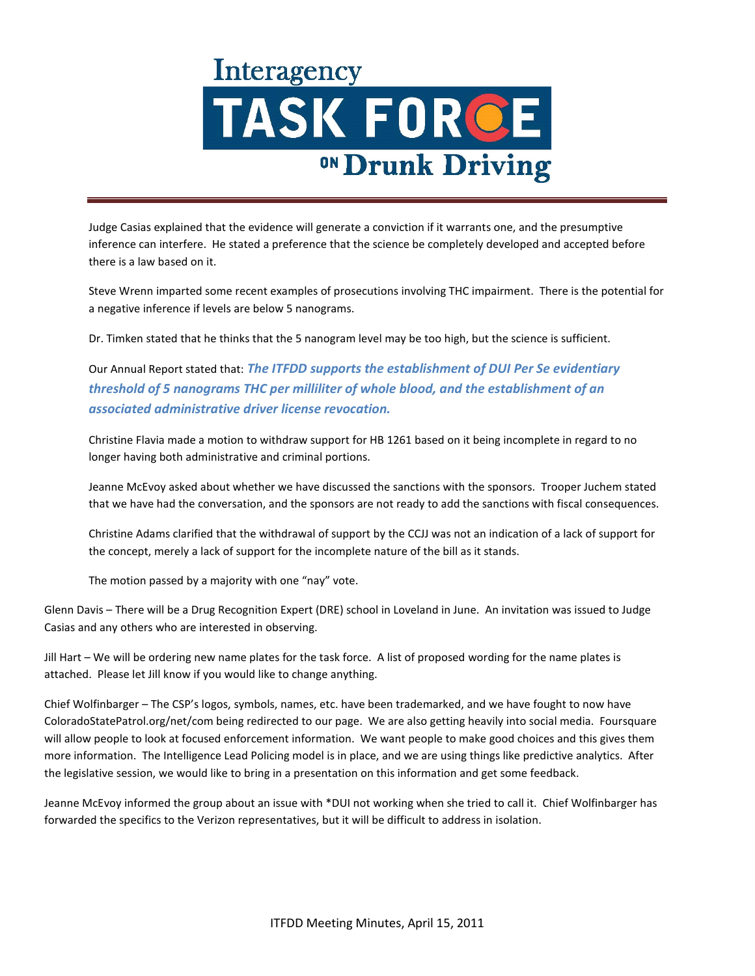### **Interagency** TASK FORCE <sup>ON</sup> Drunk Driving

Judge Casias explained that the evidence will generate a conviction if it warrants one, and the presumptive inference can interfere. He stated a preference that the science be completely developed and accepted before there is a law based on it.

Steve Wrenn imparted some recent examples of prosecutions involving THC impairment. There is the potential for a negative inference if levels are below 5 nanograms.

Dr. Timken stated that he thinks that the 5 nanogram level may be too high, but the science is sufficient.

Our Annual Report stated that: *The ITFDD supports the establishment of DUI Per Se evidentiary threshold of 5 nanograms THC per milliliter of whole blood, and the establishment of an associated administrative driver license revocation.* 

Christine Flavia made a motion to withdraw support for HB 1261 based on it being incomplete in regard to no longer having both administrative and criminal portions.

Jeanne McEvoy asked about whether we have discussed the sanctions with the sponsors. Trooper Juchem stated that we have had the conversation, and the sponsors are not ready to add the sanctions with fiscal consequences.

Christine Adams clarified that the withdrawal of support by the CCJJ was not an indication of a lack of support for the concept, merely a lack of support for the incomplete nature of the bill as it stands.

The motion passed by a majority with one "nay" vote.

Glenn Davis – There will be a Drug Recognition Expert (DRE) school in Loveland in June. An invitation was issued to Judge Casias and any others who are interested in observing.

Jill Hart – We will be ordering new name plates for the task force. A list of proposed wording for the name plates is attached. Please let Jill know if you would like to change anything.

Chief Wolfinbarger – The CSP's logos, symbols, names, etc. have been trademarked, and we have fought to now have ColoradoStatePatrol.org/net/com being redirected to our page. We are also getting heavily into social media. Foursquare will allow people to look at focused enforcement information. We want people to make good choices and this gives them more information. The Intelligence Lead Policing model is in place, and we are using things like predictive analytics. After the legislative session, we would like to bring in a presentation on this information and get some feedback.

Jeanne McEvoy informed the group about an issue with \*DUI not working when she tried to call it. Chief Wolfinbarger has forwarded the specifics to the Verizon representatives, but it will be difficult to address in isolation.